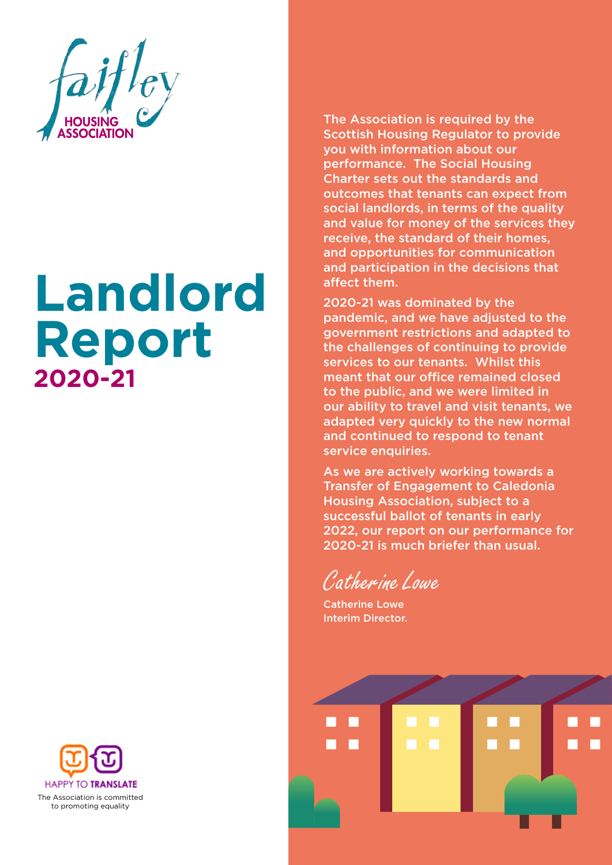

# **Landlord Report 2020-21**



The Association is required by the Scottish Housing Regulator to provide you with information about our performance. The Social Housing Charter sets out the standards and outcomes that tenants can expect from social landlords, in terms of the quality and value for money of the services they receive, the standard of their homes, and opportunities for communication and participation in the decisions that affect them.

2020-21 was dominated by the pandemic, and we have adjusted to the government restrictions and adapted to the challenges of continuing to provide services to our tenants. Whilst this meant that our office remained closed to the public, and we were limited in our ability to travel and visit tenants, we adapted very quickly to the new normal and continued to respond to tenant service enquiries.

As we are actively working towards a Transfer of Engagement to Caledonia Housing Association, subject to a successful ballot of tenants in early 2022, our report on our performance for 2020-21 is much briefer than usual.

*Catherine Lowe* 

Catherine Lowe Interim Director.

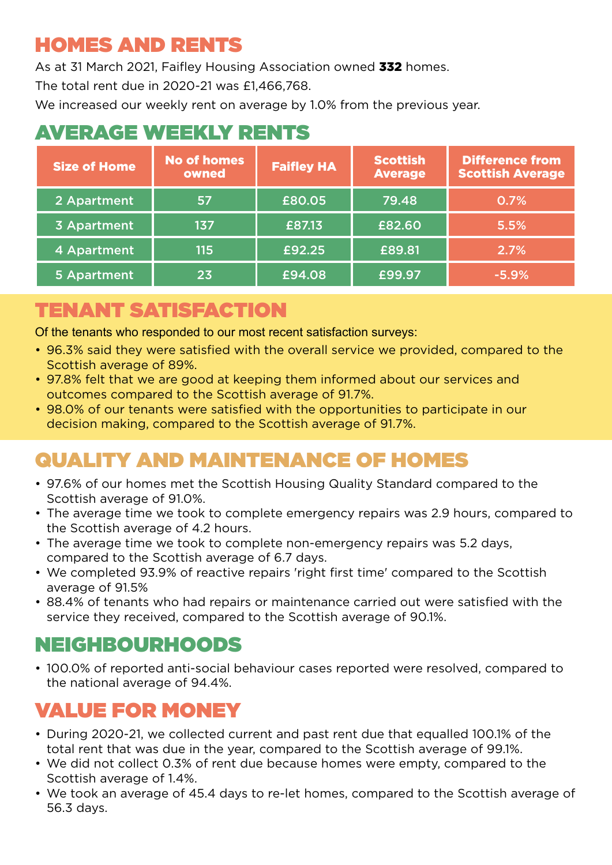#### HOMES AND RENTS

As at 31 March 2021, Faifley Housing Association owned 332 homes.

The total rent due in 2020-21 was £1,466,768.

We increased our weekly rent on average by 1.0% from the previous year.

# AVERAGE WEEKLY RENTS

| <b>Size of Home</b> | <b>No of homes</b><br>owned | <b>Faifley HA</b> | <b>Scottish</b><br><b>Average</b> | <b>Difference from</b><br><b>Scottish Average</b> |
|---------------------|-----------------------------|-------------------|-----------------------------------|---------------------------------------------------|
| 2 Apartment         | 57                          | £80.05            | 79.48                             | 0.7%                                              |
| 3 Apartment         | 137                         | £87.13            | £82.60                            | 5.5%                                              |
| 4 Apartment         | 115                         | £92.25            | £89.81                            | 2.7%                                              |
| 5 Apartment         | 23                          | £94.08            | £99.97                            | $-5.9%$                                           |

#### TENANT SATISFACTION

Of the tenants who responded to our most recent satisfaction surveys:

- 96.3% said they were satisfied with the overall service we provided, compared to the Scottish average of 89%.
- 97.8% felt that we are good at keeping them informed about our services and outcomes compared to the Scottish average of 91.7%.
- 98.0% of our tenants were satisfied with the opportunities to participate in our decision making, compared to the Scottish average of 91.7%.

## QUALITY AND MAINTENANCE OF HOMES

- 97.6% of our homes met the Scottish Housing Quality Standard compared to the Scottish average of 91.0%.
- The average time we took to complete emergency repairs was 2.9 hours, compared to the Scottish average of 4.2 hours.
- The average time we took to complete non-emergency repairs was 5.2 days, compared to the Scottish average of 6.7 days.
- We completed 93.9% of reactive repairs 'right first time' compared to the Scottish average of 91.5%
- 88.4% of tenants who had repairs or maintenance carried out were satisfied with the service they received, compared to the Scottish average of 90.1%.

#### NEIGHBOURHOODS

• 100.0% of reported anti-social behaviour cases reported were resolved, compared to the national average of 94.4%.

# VALUE FOR MONEY

- During 2020-21, we collected current and past rent due that equalled 100.1% of the total rent that was due in the year, compared to the Scottish average of 99.1%.
- We did not collect 0.3% of rent due because homes were empty, compared to the Scottish average of 1.4%.
- We took an average of 45.4 days to re-let homes, compared to the Scottish average of 56.3 days.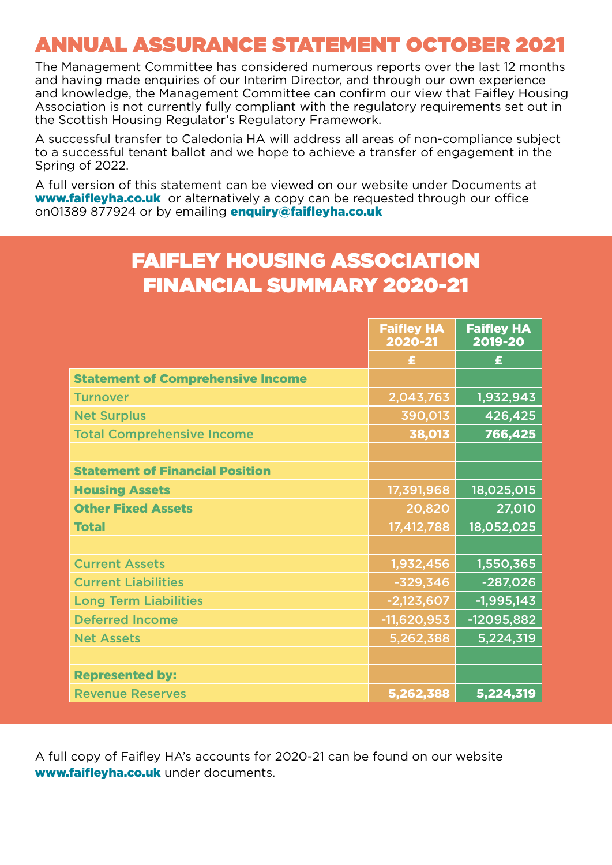### ANNUAL ASSURANCE STATEMENT OCTOBER 2021

The Management Committee has considered numerous reports over the last 12 months and having made enquiries of our Interim Director, and through our own experience and knowledge, the Management Committee can confirm our view that Faifley Housing Association is not currently fully compliant with the regulatory requirements set out in the Scottish Housing Regulator's Regulatory Framework.

A successful transfer to Caledonia HA will address all areas of non-compliance subject to a successful tenant ballot and we hope to achieve a transfer of engagement in the Spring of 2022.

A full version of this statement can be viewed on our website under Documents at **www.faifleyha.co.uk** or alternatively a copy can be requested through our office on01389 877924 or by emailing **enquiry@faifleyha.co.uk** 

#### FAIFLEY HOUSING ASSOCIATION FINANCIAL SUMMARY 2020-21

|                                          | <b>Faifley HA</b><br>2020-21 | <b>Faifley HA</b><br>2019-20 |
|------------------------------------------|------------------------------|------------------------------|
|                                          | £                            | £                            |
| <b>Statement of Comprehensive Income</b> |                              |                              |
| <b>Turnover</b>                          | 2,043,763                    | 1,932,943                    |
| <b>Net Surplus</b>                       | 390,013                      | 426,425                      |
| <b>Total Comprehensive Income</b>        | 38,013                       | 766,425                      |
|                                          |                              |                              |
| <b>Statement of Financial Position</b>   |                              |                              |
| <b>Housing Assets</b>                    | 17,391,968                   | 18,025,015                   |
| <b>Other Fixed Assets</b>                | 20,820                       | 27,010                       |
| <b>Total</b>                             | 17,412,788                   | 18,052,025                   |
|                                          |                              |                              |
| <b>Current Assets</b>                    | 1,932,456                    | 1,550,365                    |
| <b>Current Liabilities</b>               | $-329,346$                   | $-287,026$                   |
| <b>Long Term Liabilities</b>             | $-2,123,607$                 | $-1,995,143$                 |
| <b>Deferred Income</b>                   | $-11,620,953$                | -12095,882                   |
| <b>Net Assets</b>                        | 5,262,388                    | 5,224,319                    |
|                                          |                              |                              |
| <b>Represented by:</b>                   |                              |                              |
| <b>Revenue Reserves</b>                  | 5,262,388                    | 5,224,319                    |

A full copy of Faifley HA's accounts for 2020-21 can be found on our website www.faifleyha.co.uk under documents.